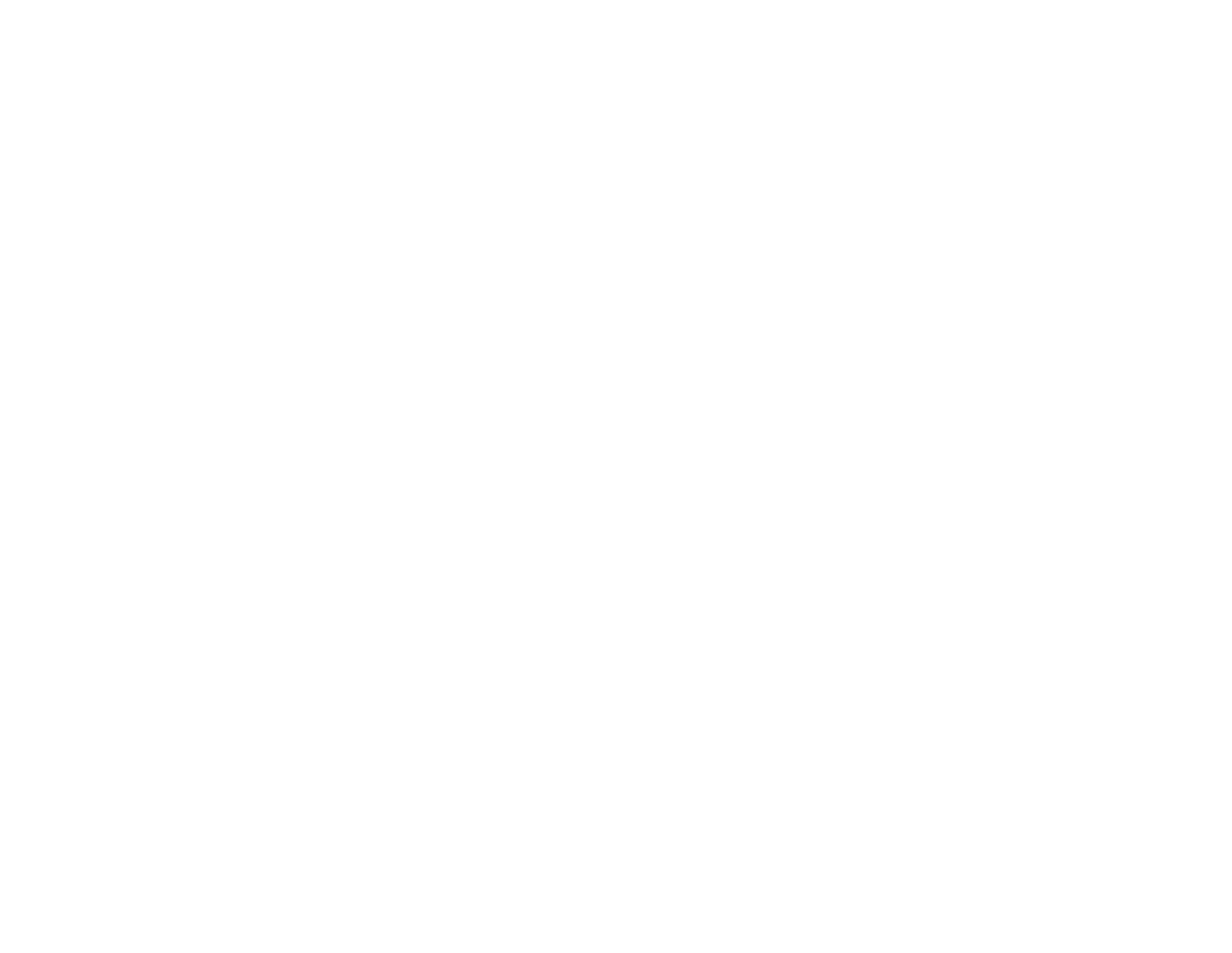## **CITY OF RANCHO PALOS VERDES SUMMARY OF EXPENDITURES - ALL FUNDS**

#### **January 31, 2021**

|             |                                                                                                                                                                                    |                       |                    | FY 2020-21         |                                        | FY 2019-20  |                                        |                                                   |           |
|-------------|------------------------------------------------------------------------------------------------------------------------------------------------------------------------------------|-----------------------|--------------------|--------------------|----------------------------------------|-------------|----------------------------------------|---------------------------------------------------|-----------|
| <b>FUND</b> | <b>FUND DESCRIPTION</b>                                                                                                                                                            | <b>REVISED BUDGET</b> | <b>YTD ACTUALS</b> | <b>YTD ENCUMB.</b> | <b>YTD ACTUALS +</b><br><b>ENCUMB.</b> | <b>USED</b> | <b>YTD ACTUALS +</b><br><b>ENCUMB.</b> | YEAR OVER YEAR CHANGE<br><b>ACTUALS + ENCUMB.</b> |           |
|             | 101 GENERAL FUND                                                                                                                                                                   |                       |                    |                    |                                        |             |                                        |                                                   |           |
|             | <b>CITY COUNCIL</b>                                                                                                                                                                | 102,900<br>\$         | 47,019 \$<br>\$    |                    | 0 <sup>5</sup><br>47,019               | 45.7%       | Ŝ.<br>55,575                           | (58, 556)                                         | $-15.4%$  |
|             | 1,000,000<br><b>LEGAL SERVICES</b><br><b>CITY CLERK</b><br>541,000<br>770,300<br><b>CITY MANAGER</b><br><b>CITY ADMINISTRATION</b><br>471,400<br>316,000<br><b>HUMAN RESOURCES</b> |                       | 478,967            | $\mathbf{0}$       | 478,967                                | 47.9%       | 545,316                                | (66, 349)                                         | $-12.2%$  |
|             |                                                                                                                                                                                    |                       | 202,416            | 2,517              | 204,933                                | 37.9%       | 626,058                                | (421, 125)                                        | $-67.3%$  |
|             |                                                                                                                                                                                    |                       | 333,793            | $\mathbf{0}$       | 333,793                                | 43.3%       | 369,432                                | (35, 639)                                         | $-9.6%$   |
|             |                                                                                                                                                                                    |                       | 126,467            | 31,940             | 158,407                                | 33.6%       | 197,480                                | (39,073)                                          | $-19.8%$  |
|             |                                                                                                                                                                                    |                       | 180,345            | 859                | 181,203                                | 57.3%       | 222,646                                | (41, 443)                                         | $-18.6%$  |
|             | 1,239,300<br>INFORMATION TECHNOLOGIES                                                                                                                                              |                       | 695,250            | 184,644            | 879,895                                | 71.0%       | 855,439                                | 24,456                                            | 2.9%      |
|             | <b>FINANCE</b>                                                                                                                                                                     | 1,591,072             | 776,989            | 42,979             | 819,968                                | 51.5%       | 995,080                                | (175, 113)                                        | $-17.6%$  |
|             | <b>PUBLIC WORKS</b>                                                                                                                                                                | 5,554,384             | 2,106,781          | 1,364,840          | 3,471,621                              | 62.5%       | 4,957,113                              | (1,485,491)                                       | $-30.0%$  |
|             | <b>COMMUNITY DEVELOPMENT</b>                                                                                                                                                       | 3,184,300             | 1,296,148          | 285,095            | 1,581,243                              | 49.7%       | 2,099,771                              | (518, 528)                                        | $-24.7%$  |
|             | <b>RECREATIONAL &amp; PARKS</b>                                                                                                                                                    | 3,285,341             | 1,356,831          | 69,863             | 1,426,694                              | 43.4%       | 1,528,145                              | (101, 451)                                        | $-6.6%$   |
|             | PUBLIC SAFETY                                                                                                                                                                      | 7,407,200             | 3,629,188          | 3,581,374          | 7,210,562                              | 97.3%       | 7,053,552                              | 157,010                                           | 2.2%      |
|             | NON-DEPARTMENTAL                                                                                                                                                                   | 1,905,189             | 919,258            | 76,990             | 996,247                                | 52.3%       | 802,823                                | 193,424                                           | 24.1%     |
|             | <b>TRANSFERS OUT</b>                                                                                                                                                               | 2,170,500             | 1,188,500          | $\overline{0}$     | 1,188,500                              | 54.8%       | 2,058,450                              | (869, 950)                                        | $-42.3%$  |
|             | <b>EMERGENCY OPERATION CENTER</b>                                                                                                                                                  | 0                     | 215,017            | 53,506             | 268,523                                | 0.0%        | 0                                      | 268,523                                           | 0.0%      |
|             | <b>TOTAL GENERAL FUND</b>                                                                                                                                                          | 29,538,886            | 13,552,969         | 5,694,606          | 19,247,575                             | 65.2%       | 22,366,879                             | (3, 119, 305)                                     | $-13.9%$  |
|             | <b>200 SPECIAL REVENUE FUNDS</b>                                                                                                                                                   |                       |                    |                    |                                        |             |                                        |                                                   |           |
|             | 202 STREET MAINTENANCE                                                                                                                                                             | 3,061,490             | 2,040,946          | 704,128            | 2,745,074                              | 89.7%       | 3,079,358                              | (334, 284)                                        | $-10.9\%$ |
|             | 209 EL PRADO LIGHTING DISTRICT                                                                                                                                                     | 800                   | $\mathbf 0$        | $\overline{0}$     | $\mathbf 0$                            | 0.0%        | $\mathbf 0$                            | $\mathbf{0}$                                      | 0.0%      |
|             | 211 1911 ACT STREET LIGHTING                                                                                                                                                       | 870,740               | 197,337            | 479,706            | 677,042                                | 77.8%       | 1,333,086                              | (656, 043)                                        | $-49.2%$  |
|             | 213 WASTE REDUCTION                                                                                                                                                                | 287,500               | 97,670             | 83,685             | 181,355                                | 63.1%       | 194,025                                | (12,671)                                          | $-6.5%$   |
|             | 214 AIR QUALITY MANAGEMENT                                                                                                                                                         | 57,000                | 18,814             | 31,190             | 50,004                                 | 87.7%       | 0                                      | 50,004                                            | 0.0%      |
|             | 215 PROPOSITION C                                                                                                                                                                  | 950,379               | 1,141              | 899,464            | 900,605                                | 94.8%       | 696,231                                | 204,374                                           | 29.4%     |
|             | 216 PROPOSITION A                                                                                                                                                                  | 1,471,129             | 916,458            | 534,823            | 1,451,282                              | 98.7%       | 1,136,444                              | 314,837                                           | 27.7%     |
|             | 217 PUBLIC SAFETY GRANTS                                                                                                                                                           | 130,000               | 65,000             | $\overline{0}$     | 65,000                                 | 50.0%       | 87,500                                 | (22,500)                                          | $-25.7%$  |
|             | 220 MEASURE R                                                                                                                                                                      | 1,033,802             | 254,126            | 631,530            | 885,655                                | 85.7%       | 363,669                                | 521,986                                           | 143.5%    |
|             | 221 MEASURE M                                                                                                                                                                      | 536,000               | 159,215            | 113,076            | 272,291                                | 50.8%       | 564,093                                | (291, 803)                                        | $-51.7%$  |
|             |                                                                                                                                                                                    |                       |                    |                    |                                        |             |                                        |                                                   |           |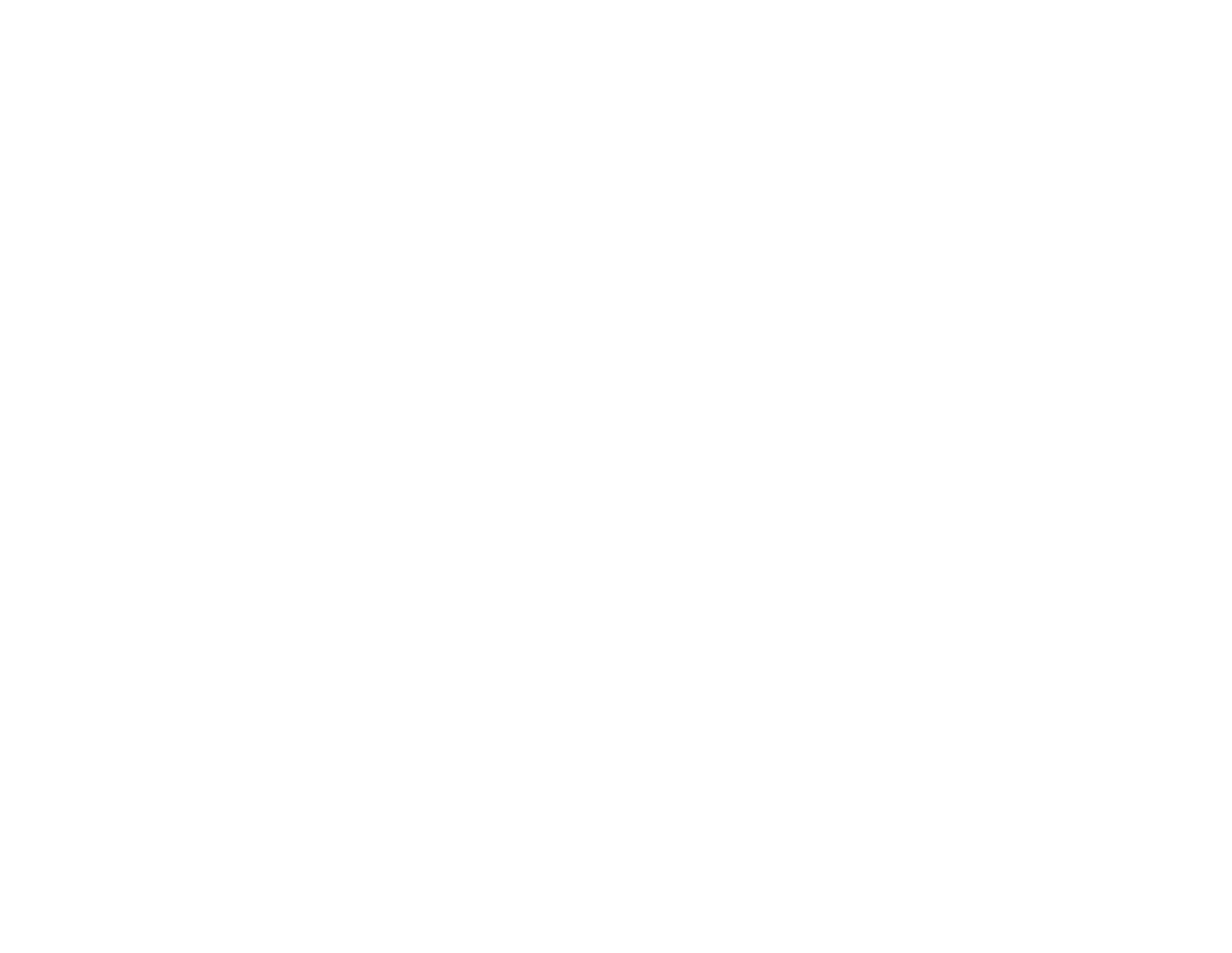# **CITY OF RANCHO PALOS VERDES SUMMARY OF EXPENDITURES - ALL FUNDS**

## **January 31, 2021**

|             |                                              |                       |                    | FY 2020-21         |                                        |             | FY 2019-20                             |                                                   |                       |
|-------------|----------------------------------------------|-----------------------|--------------------|--------------------|----------------------------------------|-------------|----------------------------------------|---------------------------------------------------|-----------------------|
| <b>FUND</b> | <b>FUND DESCRIPTION</b>                      | <b>REVISED BUDGET</b> | <b>YTD ACTUALS</b> | <b>YTD ENCUMB.</b> | <b>YTD ACTUALS +</b><br><b>ENCUMB.</b> | <b>USED</b> | <b>YTD ACTUALS +</b><br><b>ENCUMB.</b> | YEAR OVER YEAR CHANGE<br><b>ACTUALS + ENCUMB.</b> |                       |
|             | 222 HABITAT RESTORATION                      | 184,900               | 92,450             | 92,450             | 184,900                                | 100.0%      | 179,497                                | 5,403                                             | 3.0%                  |
|             | 223 SUBREGION ONE MAINTENANCE                | 41,600                | 19,118             | 4,410              | 23,528                                 | 56.6%       | 37,552                                 | (14, 025)                                         | $-37.3%$              |
|             | 224 MEASURE A MAINTENANCE                    | 100,000               | 50,000             | 0                  | 50,000                                 | 50.0%       | 50,000                                 | 0                                                 | 0.0%                  |
| 225         | ABALONE COVE SEWER DISTRICT                  | 151,715               | 36,786             | 65,049<br>$\Omega$ | 101,834                                | 67.1%       | 157,247<br>1,045                       | (55, 413)<br>(1,045)                              | $-35.2%$<br>$-100.0%$ |
|             | 227 GINSBERG CULTURAL ARTS BLDG.             | $\Omega$              | 0                  |                    | 0                                      | 0.0%        |                                        |                                                   |                       |
|             | 228 DONOR RESTRICTED CONTRIBUTIONS           | 38,422                | 3,972              | 25,089             | 29,061                                 |             | 37,859                                 | (8, 798)                                          | $-23.2%$              |
|             | <b>TOTAL SPECIAL REVENUE FUNDS</b>           | 8,915,476             | 3,953,031          | 3,664,599          | 7,617,630                              | 85.4%       | 7,917,607                              | (299, 976)                                        | $-3.8%$               |
|             |                                              |                       |                    |                    |                                        |             |                                        |                                                   |                       |
| 300         | <b>CAPITAL PROJECTS FUNDS</b>                |                       |                    |                    |                                        |             |                                        |                                                   |                       |
|             | 310 COMMUNITY DEVELOPMENT BLOCK GRANT (CDBG) | 258,999               | 12,339             | 30,060             | 42,399                                 | 16.4%       | 299,293                                | (256, 894)                                        | $-85.8%$              |
|             | 330 INFRASTRUCTURE IMPROVEMENTS              | 3,784,636             | 604,496            | 1,273,534          | 1,878,030                              | 49.6%       | 7,414,534                              | (5,536,504)                                       | $-74.7%$              |
|             | 331 FEDERAL GRANTS                           | $\mathbf 0$           | 0                  | $\mathbf 0$        | 0                                      | 0.0%        | 0                                      | $\mathbf 0$                                       | 0.0%                  |
|             | 332 STATE GRANTS                             | 212,945               | 31,594             | 189,232            | 220,826                                | 103.7%      | 496,778                                | (275, 952)                                        | $-55.5%$              |
|             | 334 QUIMBY PARK DEVELOPMENT                  | 300,790               | 2,661              | 265,329            | 267,990                                | 89.1%       | 862,194                                | (594, 204)                                        | $-68.9%$              |
|             | 336 LOW-MODERATE INCOME HOUSING              | $\mathbf 0$           | $\mathbf{0}$       | $\mathbf{0}$       | $\mathbf 0$                            | 0.0%        | 0                                      | $\mathbf{0}$                                      | 0.0%                  |
|             | 338 DEVELOPMENT IMPACT MITIGATION (EET)      | 210,000               | 79,862             | 76,948             | 156,810                                | 74.7%       | 314,165                                | (157, 355)                                        | $-50.1%$              |
|             | 343 MEASURE W                                | 213,537               | $\mathbf{0}$       | 213,537            | 213,537                                | 100.0%      | 0                                      | 213,537                                           | 0.0%                  |
|             | <b>TOTAL CAPITAL PROJECTS FUNDS</b>          | 4,980,907             | 730,952            | 2,048,639          | 2,779,591                              | 55.8%       | 9,386,964                              | (6,607,372)                                       | $-70.4%$              |
|             |                                              |                       |                    |                    |                                        |             |                                        |                                                   |                       |
| 600         | <b>INTERNAL SERVICE FUND</b>                 |                       |                    |                    |                                        |             |                                        |                                                   |                       |
|             | 681 EQUIPMENT REPLACEMENT                    | 788,997               | 113,430            | 60,679             | 174,109                                | 22.1%       | 526,951                                | (352, 842)                                        | $-67.0%$              |
|             | <b>TOTAL INTERNAL SERVICE FUNDS</b>          | 788,997               | 113,430            | 60,679             | 174,109                                | 22.1%       | 526,951                                | (352, 842)                                        | $-67.0%$              |
|             |                                              |                       |                    |                    |                                        |             |                                        |                                                   |                       |
|             | <b>REDEVELOPMENT AGENCY</b>                  |                       |                    |                    |                                        |             |                                        |                                                   |                       |
|             | 701 REDEVELOPMENT OBLIGATION                 | $\Omega$              | 275                | 0                  | 275                                    | 0.0%        | 1,726                                  | (1,451)                                           | $-84.1%$              |
|             | <b>TOTAL REDEVELOPMENT AGENCY</b>            | 0                     | 275                | $\bf{0}$           | 275                                    | 0.0%        | 1,726                                  | (1,451)                                           | $-84.1%$              |